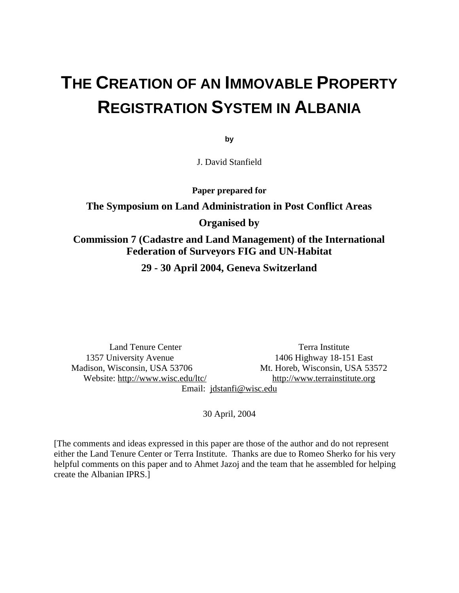# **THE CREATION OF AN IMMOVABLE PROPERTY REGISTRATION SYSTEM IN ALBANIA**

**by** 

J. David Stanfield

**Paper prepared for** 

## **The Symposium on Land Administration in Post Conflict Areas Organised by**

#### **Commission 7 (Cadastre and Land Management) of the International Federation of Surveyors FIG and UN-Habitat**

**29 - 30 April 2004, Geneva Switzerland** 

Land Tenure Center Terra Institute 1357 University Avenue 1406 Highway 18-151 East Madison, Wisconsin, USA 53706 Mt. Horeb, Wisconsin, USA 53572 Website:<http://www.wisc.edu/ltc/> <http://www.terrainstitute.org>

Email: [jdstanfi@wisc.edu](mailto:jdstanfi@wisc.edu)

30 April, 2004

[The comments and ideas expressed in this paper are those of the author and do not represent either the Land Tenure Center or Terra Institute. Thanks are due to Romeo Sherko for his very helpful comments on this paper and to Ahmet Jazoj and the team that he assembled for helping create the Albanian IPRS.]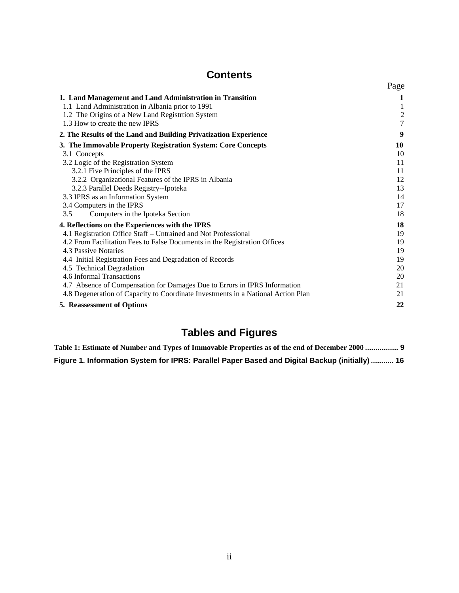#### **Contents**

|                                                                                  | Page             |
|----------------------------------------------------------------------------------|------------------|
| 1. Land Management and Land Administration in Transition                         | 1                |
| 1.1 Land Administration in Albania prior to 1991                                 |                  |
| 1.2 The Origins of a New Land Registrion System                                  | $\boldsymbol{2}$ |
| 1.3 How to create the new IPRS                                                   | $\boldsymbol{7}$ |
| 2. The Results of the Land and Building Privatization Experience                 | 9                |
| 3. The Immovable Property Registration System: Core Concepts                     | 10               |
| 3.1 Concepts                                                                     | 10               |
| 3.2 Logic of the Registration System                                             | 11               |
| 3.2.1 Five Principles of the IPRS                                                | 11               |
| 3.2.2 Organizational Features of the IPRS in Albania                             | 12               |
| 3.2.3 Parallel Deeds Registry--Ipoteka                                           | 13               |
| 3.3 IPRS as an Information System                                                | 14               |
| 3.4 Computers in the IPRS                                                        | 17               |
| Computers in the Ipoteka Section<br>3.5                                          | 18               |
| 4. Reflections on the Experiences with the IPRS                                  | 18               |
| 4.1 Registration Office Staff – Untrained and Not Professional                   | 19               |
| 4.2 From Facilitation Fees to False Documents in the Registration Offices        | 19               |
| 4.3 Passive Notaries                                                             | 19               |
| 4.4 Initial Registration Fees and Degradation of Records                         | 19               |
| 4.5 Technical Degradation                                                        | 20               |
| 4.6 Informal Transactions                                                        | 20               |
| 4.7 Absence of Compensation for Damages Due to Errors in IPRS Information        | 21               |
| 4.8 Degeneration of Capacity to Coordinate Investments in a National Action Plan | 21               |
| <b>5. Reassessment of Options</b>                                                | 22               |
|                                                                                  |                  |

## **Tables and Figures**

**Table 1: Estimate of Number and Types of Immovable Properties as of the end of December 2000 ................ 9 Figure 1. Information System for IPRS: Parallel Paper Based and Digital Backup (initially) ........... 16**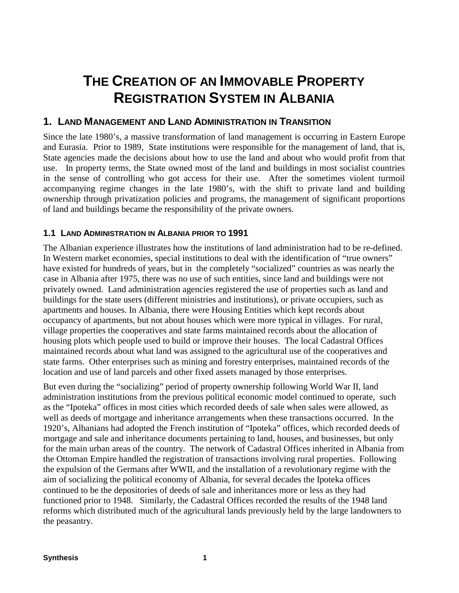## **THE CREATION OF AN IMMOVABLE PROPERTY REGISTRATION SYSTEM IN ALBANIA**

#### **1. LAND MANAGEMENT AND LAND ADMINISTRATION IN TRANSITION**

Since the late 1980's, a massive transformation of land management is occurring in Eastern Europe and Eurasia. Prior to 1989, State institutions were responsible for the management of land, that is, State agencies made the decisions about how to use the land and about who would profit from that use. In property terms, the State owned most of the land and buildings in most socialist countries in the sense of controlling who got access for their use. After the sometimes violent turmoil accompanying regime changes in the late 1980's, with the shift to private land and building ownership through privatization policies and programs, the management of significant proportions of land and buildings became the responsibility of the private owners.

#### **1.1 LAND ADMINISTRATION IN ALBANIA PRIOR TO 1991**

The Albanian experience illustrates how the institutions of land administration had to be re-defined. In Western market economies, special institutions to deal with the identification of "true owners" have existed for hundreds of years, but in the completely "socialized" countries as was nearly the case in Albania after 1975, there was no use of such entities, since land and buildings were not privately owned. Land administration agencies registered the use of properties such as land and buildings for the state users (different ministries and institutions), or private occupiers, such as apartments and houses. In Albania, there were Housing Entities which kept records about occupancy of apartments, but not about houses which were more typical in villages. For rural, village properties the cooperatives and state farms maintained records about the allocation of housing plots which people used to build or improve their houses. The local Cadastral Offices maintained records about what land was assigned to the agricultural use of the cooperatives and state farms. Other enterprises such as mining and forestry enterprises, maintained records of the location and use of land parcels and other fixed assets managed by those enterprises.

But even during the "socializing" period of property ownership following World War II, land administration institutions from the previous political economic model continued to operate, such as the "Ipoteka" offices in most cities which recorded deeds of sale when sales were allowed, as well as deeds of mortgage and inheritance arrangements when these transactions occurred. In the 1920's, Albanians had adopted the French institution of "Ipoteka" offices, which recorded deeds of mortgage and sale and inheritance documents pertaining to land, houses, and businesses, but only for the main urban areas of the country. The network of Cadastral Offices inherited in Albania from the Ottoman Empire handled the registration of transactions involving rural properties. Following the expulsion of the Germans after WWII, and the installation of a revolutionary regime with the aim of socializing the political economy of Albania, for several decades the Ipoteka offices continued to be the depositories of deeds of sale and inheritances more or less as they had functioned prior to 1948. Similarly, the Cadastral Offices recorded the results of the 1948 land reforms which distributed much of the agricultural lands previously held by the large landowners to the peasantry.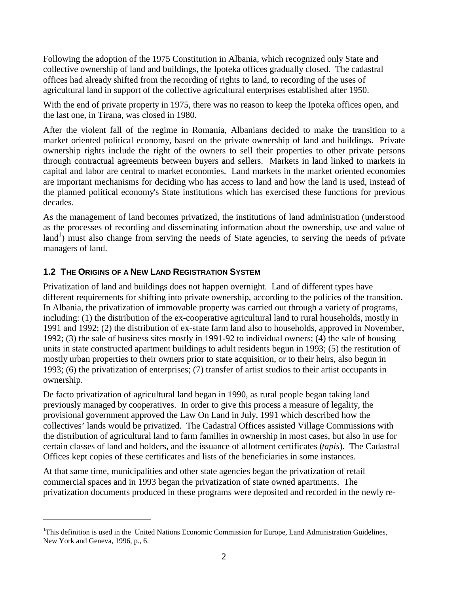Following the adoption of the 1975 Constitution in Albania, which recognized only State and collective ownership of land and buildings, the Ipoteka offices gradually closed. The cadastral offices had already shifted from the recording of rights to land, to recording of the uses of agricultural land in support of the collective agricultural enterprises established after 1950.

With the end of private property in 1975, there was no reason to keep the Ipoteka offices open, and the last one, in Tirana, was closed in 1980.

After the violent fall of the regime in Romania, Albanians decided to make the transition to a market oriented political economy, based on the private ownership of land and buildings. Private ownership rights include the right of the owners to sell their properties to other private persons through contractual agreements between buyers and sellers. Markets in land linked to markets in capital and labor are central to market economies. Land markets in the market oriented economies are important mechanisms for deciding who has access to land and how the land is used, instead of the planned political economy's State institutions which has exercised these functions for previous decades.

As the management of land becomes privatized, the institutions of land administration (understood as the processes of recording and disseminating information about the ownership, use and value of  $\text{land}^1$ ) must also change from serving the needs of State agencies, to serving the needs of private managers of land.

#### **1.2 THE ORIGINS OF A NEW LAND REGISTRATION SYSTEM**

 $\overline{a}$ 

Privatization of land and buildings does not happen overnight. Land of different types have different requirements for shifting into private ownership, according to the policies of the transition. In Albania, the privatization of immovable property was carried out through a variety of programs, including: (1) the distribution of the ex-cooperative agricultural land to rural households, mostly in 1991 and 1992; (2) the distribution of ex-state farm land also to households, approved in November, 1992; (3) the sale of business sites mostly in 1991-92 to individual owners; (4) the sale of housing units in state constructed apartment buildings to adult residents begun in 1993; (5) the restitution of mostly urban properties to their owners prior to state acquisition, or to their heirs, also begun in 1993; (6) the privatization of enterprises; (7) transfer of artist studios to their artist occupants in ownership.

De facto privatization of agricultural land began in 1990, as rural people began taking land previously managed by cooperatives. In order to give this process a measure of legality, the provisional government approved the Law On Land in July, 1991 which described how the collectives' lands would be privatized. The Cadastral Offices assisted Village Commissions with the distribution of agricultural land to farm families in ownership in most cases, but also in use for certain classes of land and holders, and the issuance of allotment certificates (*tapis*). The Cadastral Offices kept copies of these certificates and lists of the beneficiaries in some instances.

At that same time, municipalities and other state agencies began the privatization of retail commercial spaces and in 1993 began the privatization of state owned apartments. The privatization documents produced in these programs were deposited and recorded in the newly re-

<sup>&</sup>lt;sup>1</sup>This definition is used in the United Nations Economic Commission for Europe, Land Administration Guidelines, New York and Geneva, 1996, p., 6.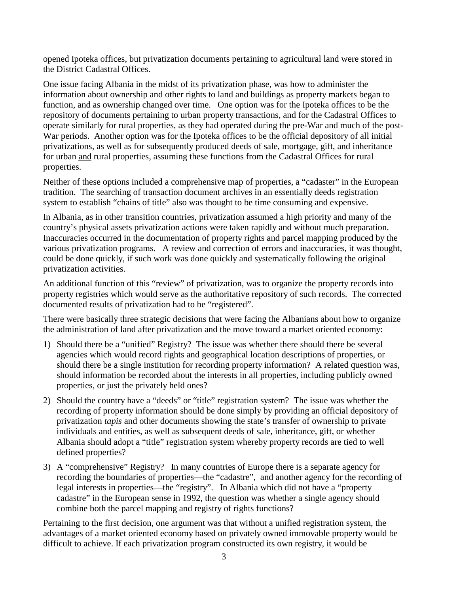opened Ipoteka offices, but privatization documents pertaining to agricultural land were stored in the District Cadastral Offices.

One issue facing Albania in the midst of its privatization phase, was how to administer the information about ownership and other rights to land and buildings as property markets began to function, and as ownership changed over time. One option was for the Ipoteka offices to be the repository of documents pertaining to urban property transactions, and for the Cadastral Offices to operate similarly for rural properties, as they had operated during the pre-War and much of the post-War periods. Another option was for the Ipoteka offices to be the official depository of all initial privatizations, as well as for subsequently produced deeds of sale, mortgage, gift, and inheritance for urban and rural properties, assuming these functions from the Cadastral Offices for rural properties.

Neither of these options included a comprehensive map of properties, a "cadaster" in the European tradition. The searching of transaction document archives in an essentially deeds registration system to establish "chains of title" also was thought to be time consuming and expensive.

In Albania, as in other transition countries, privatization assumed a high priority and many of the country's physical assets privatization actions were taken rapidly and without much preparation. Inaccuracies occurred in the documentation of property rights and parcel mapping produced by the various privatization programs. A review and correction of errors and inaccuracies, it was thought, could be done quickly, if such work was done quickly and systematically following the original privatization activities.

An additional function of this "review" of privatization, was to organize the property records into property registries which would serve as the authoritative repository of such records. The corrected documented results of privatization had to be "registered".

There were basically three strategic decisions that were facing the Albanians about how to organize the administration of land after privatization and the move toward a market oriented economy:

- 1) Should there be a "unified" Registry? The issue was whether there should there be several agencies which would record rights and geographical location descriptions of properties, or should there be a single institution for recording property information? A related question was, should information be recorded about the interests in all properties, including publicly owned properties, or just the privately held ones?
- 2) Should the country have a "deeds" or "title" registration system? The issue was whether the recording of property information should be done simply by providing an official depository of privatization *tapis* and other documents showing the state's transfer of ownership to private individuals and entities, as well as subsequent deeds of sale, inheritance, gift, or whether Albania should adopt a "title" registration system whereby property records are tied to well defined properties?
- 3) A "comprehensive" Registry? In many countries of Europe there is a separate agency for recording the boundaries of properties—the "cadastre", and another agency for the recording of legal interests in properties—the "registry". In Albania which did not have a "property cadastre" in the European sense in 1992, the question was whether a single agency should combine both the parcel mapping and registry of rights functions?

Pertaining to the first decision, one argument was that without a unified registration system, the advantages of a market oriented economy based on privately owned immovable property would be difficult to achieve. If each privatization program constructed its own registry, it would be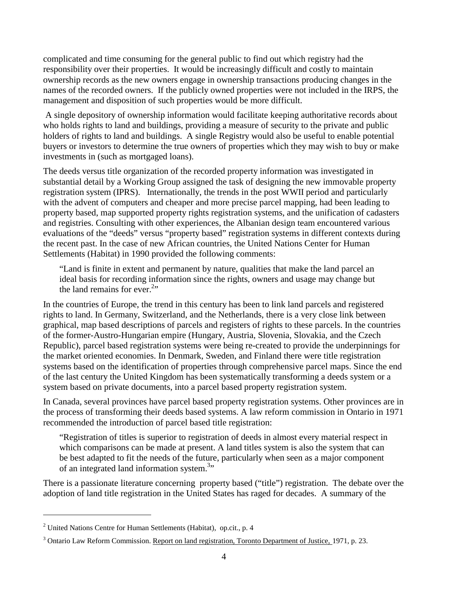complicated and time consuming for the general public to find out which registry had the responsibility over their properties. It would be increasingly difficult and costly to maintain ownership records as the new owners engage in ownership transactions producing changes in the names of the recorded owners. If the publicly owned properties were not included in the IRPS, the management and disposition of such properties would be more difficult.

 A single depository of ownership information would facilitate keeping authoritative records about who holds rights to land and buildings, providing a measure of security to the private and public holders of rights to land and buildings. A single Registry would also be useful to enable potential buyers or investors to determine the true owners of properties which they may wish to buy or make investments in (such as mortgaged loans).

The deeds versus title organization of the recorded property information was investigated in substantial detail by a Working Group assigned the task of designing the new immovable property registration system (IPRS). Internationally, the trends in the post WWII period and particularly with the advent of computers and cheaper and more precise parcel mapping, had been leading to property based, map supported property rights registration systems, and the unification of cadasters and registries. Consulting with other experiences, the Albanian design team encountered various evaluations of the "deeds" versus "property based" registration systems in different contexts during the recent past. In the case of new African countries, the United Nations Center for Human Settlements (Habitat) in 1990 provided the following comments:

"Land is finite in extent and permanent by nature, qualities that make the land parcel an ideal basis for recording information since the rights, owners and usage may change but the land remains for ever.<sup>2</sup>"

In the countries of Europe, the trend in this century has been to link land parcels and registered rights to land. In Germany, Switzerland, and the Netherlands, there is a very close link between graphical, map based descriptions of parcels and registers of rights to these parcels. In the countries of the former-Austro-Hungarian empire (Hungary, Austria, Slovenia, Slovakia, and the Czech Republic), parcel based registration systems were being re-created to provide the underpinnings for the market oriented economies. In Denmark, Sweden, and Finland there were title registration systems based on the identification of properties through comprehensive parcel maps. Since the end of the last century the United Kingdom has been systematically transforming a deeds system or a system based on private documents, into a parcel based property registration system.

In Canada, several provinces have parcel based property registration systems. Other provinces are in the process of transforming their deeds based systems. A law reform commission in Ontario in 1971 recommended the introduction of parcel based title registration:

"Registration of titles is superior to registration of deeds in almost every material respect in which comparisons can be made at present. A land titles system is also the system that can be best adapted to fit the needs of the future, particularly when seen as a major component of an integrated land information system.<sup>3</sup>"

There is a passionate literature concerning property based ("title") registration. The debate over the adoption of land title registration in the United States has raged for decades. A summary of the

<sup>&</sup>lt;sup>2</sup> United Nations Centre for Human Settlements (Habitat), op.cit., p. 4

<sup>&</sup>lt;sup>3</sup> Ontario Law Reform Commission. Report on land registration, Toronto Department of Justice, 1971, p. 23.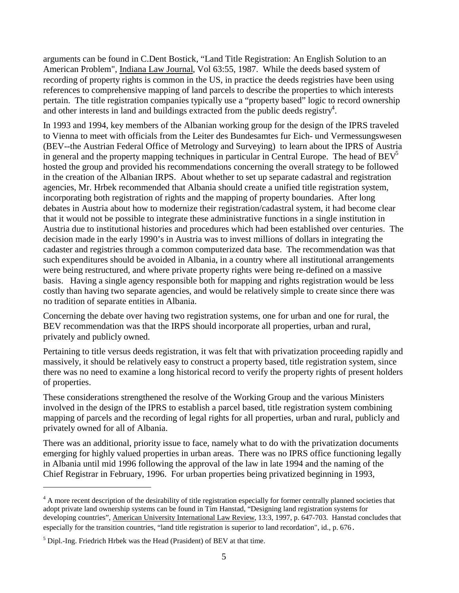arguments can be found in C.Dent Bostick, "Land Title Registration: An English Solution to an American Problem", Indiana Law Journal, Vol 63:55, 1987. While the deeds based system of recording of property rights is common in the US, in practice the deeds registries have been using references to comprehensive mapping of land parcels to describe the properties to which interests pertain. The title registration companies typically use a "property based" logic to record ownership and other interests in land and buildings extracted from the public deeds registry<sup>4</sup>.

In 1993 and 1994, key members of the Albanian working group for the design of the IPRS traveled to Vienna to meet with officials from the Leiter des Bundesamtes fur Eich- und Vermessungswesen (BEV--the Austrian Federal Office of Metrology and Surveying) to learn about the IPRS of Austria in general and the property mapping techniques in particular in Central Europe. The head of  $BEV^5$ hosted the group and provided his recommendations concerning the overall strategy to be followed in the creation of the Albanian IRPS. About whether to set up separate cadastral and registration agencies, Mr. Hrbek recommended that Albania should create a unified title registration system, incorporating both registration of rights and the mapping of property boundaries. After long debates in Austria about how to modernize their registration/cadastral system, it had become clear that it would not be possible to integrate these administrative functions in a single institution in Austria due to institutional histories and procedures which had been established over centuries. The decision made in the early 1990's in Austria was to invest millions of dollars in integrating the cadaster and registries through a common computerized data base. The recommendation was that such expenditures should be avoided in Albania, in a country where all institutional arrangements were being restructured, and where private property rights were being re-defined on a massive basis. Having a single agency responsible both for mapping and rights registration would be less costly than having two separate agencies, and would be relatively simple to create since there was no tradition of separate entities in Albania.

Concerning the debate over having two registration systems, one for urban and one for rural, the BEV recommendation was that the IRPS should incorporate all properties, urban and rural, privately and publicly owned.

Pertaining to title versus deeds registration, it was felt that with privatization proceeding rapidly and massively, it should be relatively easy to construct a property based, title registration system, since there was no need to examine a long historical record to verify the property rights of present holders of properties.

These considerations strengthened the resolve of the Working Group and the various Ministers involved in the design of the IPRS to establish a parcel based, title registration system combining mapping of parcels and the recording of legal rights for all properties, urban and rural, publicly and privately owned for all of Albania.

There was an additional, priority issue to face, namely what to do with the privatization documents emerging for highly valued properties in urban areas. There was no IPRS office functioning legally in Albania until mid 1996 following the approval of the law in late 1994 and the naming of the Chief Registrar in February, 1996. For urban properties being privatized beginning in 1993,

<sup>&</sup>lt;sup>4</sup> A more recent description of the desirability of title registration especially for former centrally planned societies that adopt private land ownership systems can be found in Tim Hanstad, "Designing land registration systems for developing countries", American University International Law Review, 13:3, 1997, p. 647-703. Hanstad concludes that especially for the transition countries, "land title registration is superior to land recordation", id., p. 676.

 $<sup>5</sup>$  Dipl.-Ing. Friedrich Hrbek was the Head (Prasident) of BEV at that time.</sup>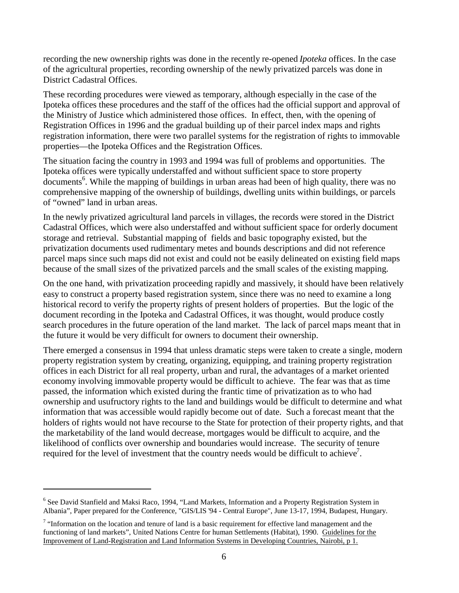recording the new ownership rights was done in the recently re-opened *Ipoteka* offices. In the case of the agricultural properties, recording ownership of the newly privatized parcels was done in District Cadastral Offices.

These recording procedures were viewed as temporary, although especially in the case of the Ipoteka offices these procedures and the staff of the offices had the official support and approval of the Ministry of Justice which administered those offices. In effect, then, with the opening of Registration Offices in 1996 and the gradual building up of their parcel index maps and rights registration information, there were two parallel systems for the registration of rights to immovable properties—the Ipoteka Offices and the Registration Offices.

The situation facing the country in 1993 and 1994 was full of problems and opportunities. The Ipoteka offices were typically understaffed and without sufficient space to store property documents<sup>6</sup>. While the mapping of buildings in urban areas had been of high quality, there was no comprehensive mapping of the ownership of buildings, dwelling units within buildings, or parcels of "owned" land in urban areas.

In the newly privatized agricultural land parcels in villages, the records were stored in the District Cadastral Offices, which were also understaffed and without sufficient space for orderly document storage and retrieval. Substantial mapping of fields and basic topography existed, but the privatization documents used rudimentary metes and bounds descriptions and did not reference parcel maps since such maps did not exist and could not be easily delineated on existing field maps because of the small sizes of the privatized parcels and the small scales of the existing mapping.

On the one hand, with privatization proceeding rapidly and massively, it should have been relatively easy to construct a property based registration system, since there was no need to examine a long historical record to verify the property rights of present holders of properties. But the logic of the document recording in the Ipoteka and Cadastral Offices, it was thought, would produce costly search procedures in the future operation of the land market. The lack of parcel maps meant that in the future it would be very difficult for owners to document their ownership.

There emerged a consensus in 1994 that unless dramatic steps were taken to create a single, modern property registration system by creating, organizing, equipping, and training property registration offices in each District for all real property, urban and rural, the advantages of a market oriented economy involving immovable property would be difficult to achieve. The fear was that as time passed, the information which existed during the frantic time of privatization as to who had ownership and usufructory rights to the land and buildings would be difficult to determine and what information that was accessible would rapidly become out of date. Such a forecast meant that the holders of rights would not have recourse to the State for protection of their property rights, and that the marketability of the land would decrease, mortgages would be difficult to acquire, and the likelihood of conflicts over ownership and boundaries would increase. The security of tenure required for the level of investment that the country needs would be difficult to achieve<sup>7</sup>.

<sup>&</sup>lt;sup>6</sup> See David Stanfield and Maksi Raco, 1994, "Land Markets, Information and a Property Registration System in Albania", Paper prepared for the Conference, "GIS/LIS '94 - Central Europe", June 13-17, 1994, Budapest, Hungary.

 $<sup>7</sup>$  "Information on the location and tenure of land is a basic requirement for effective land management and the</sup> functioning of land markets", United Nations Centre for human Settlements (Habitat), 1990. Guidelines for the Improvement of Land-Registration and Land Information Systems in Developing Countries, Nairobi, p 1.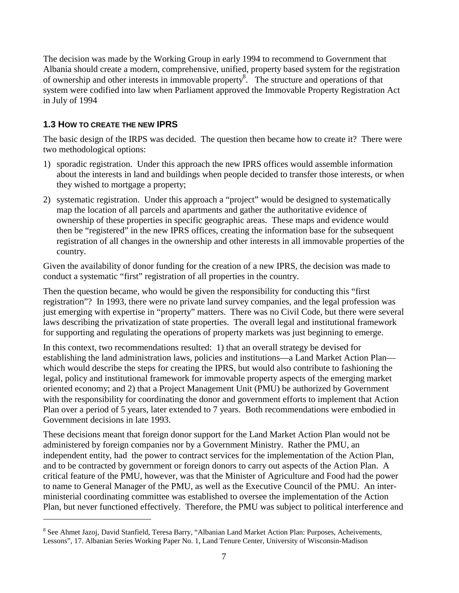The decision was made by the Working Group in early 1994 to recommend to Government that Albania should create a modern, comprehensive, unified, property based system for the registration of ownership and other interests in immovable property<sup>8</sup>. The structure and operations of that system were codified into law when Parliament approved the Immovable Property Registration Act in July of 1994

#### **1.3 HOW TO CREATE THE NEW IPRS**

 $\overline{a}$ 

The basic design of the IRPS was decided. The question then became how to create it? There were two methodological options:

- 1) sporadic registration. Under this approach the new IPRS offices would assemble information about the interests in land and buildings when people decided to transfer those interests, or when they wished to mortgage a property;
- 2) systematic registration. Under this approach a "project" would be designed to systematically map the location of all parcels and apartments and gather the authoritative evidence of ownership of these properties in specific geographic areas. These maps and evidence would then be "registered" in the new IPRS offices, creating the information base for the subsequent registration of all changes in the ownership and other interests in all immovable properties of the country.

Given the availability of donor funding for the creation of a new IPRS, the decision was made to conduct a systematic "first" registration of all properties in the country.

Then the question became, who would be given the responsibility for conducting this "first registration"? In 1993, there were no private land survey companies, and the legal profession was just emerging with expertise in "property" matters. There was no Civil Code, but there were several laws describing the privatization of state properties. The overall legal and institutional framework for supporting and regulating the operations of property markets was just beginning to emerge.

In this context, two recommendations resulted: 1) that an overall strategy be devised for establishing the land administration laws, policies and institutions—a Land Market Action Plan which would describe the steps for creating the IPRS, but would also contribute to fashioning the legal, policy and institutional framework for immovable property aspects of the emerging market oriented economy; and 2) that a Project Management Unit (PMU) be authorized by Government with the responsibility for coordinating the donor and government efforts to implement that Action Plan over a period of 5 years, later extended to 7 years. Both recommendations were embodied in Government decisions in late 1993.

These decisions meant that foreign donor support for the Land Market Action Plan would not be administered by foreign companies nor by a Government Ministry. Rather the PMU, an independent entity, had the power to contract services for the implementation of the Action Plan, and to be contracted by government or foreign donors to carry out aspects of the Action Plan. A critical feature of the PMU, however, was that the Minister of Agriculture and Food had the power to name to General Manager of the PMU, as well as the Executive Council of the PMU. An interministerial coordinating committee was established to oversee the implementation of the Action Plan, but never functioned effectively. Therefore, the PMU was subject to political interference and

<sup>&</sup>lt;sup>8</sup> See Ahmet Jazoj, David Stanfield, Teresa Barry, "Albanian Land Market Action Plan: Purposes, Acheivements, Lessons", 17. Albanian Series Working Paper No. 1, Land Tenure Center, University of Wisconsin-Madison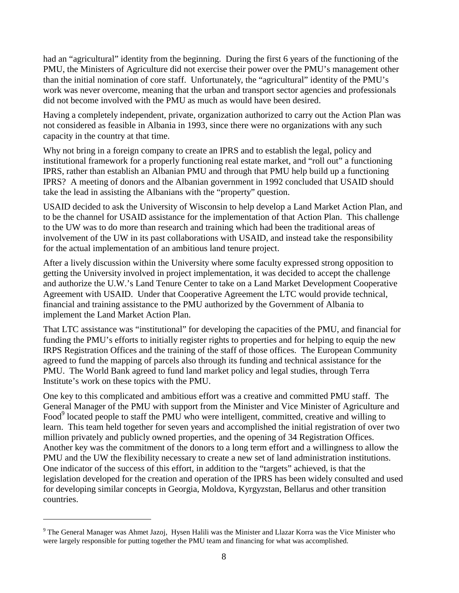had an "agricultural" identity from the beginning. During the first 6 years of the functioning of the PMU, the Ministers of Agriculture did not exercise their power over the PMU's management other than the initial nomination of core staff. Unfortunately, the "agricultural" identity of the PMU's work was never overcome, meaning that the urban and transport sector agencies and professionals did not become involved with the PMU as much as would have been desired.

Having a completely independent, private, organization authorized to carry out the Action Plan was not considered as feasible in Albania in 1993, since there were no organizations with any such capacity in the country at that time.

Why not bring in a foreign company to create an IPRS and to establish the legal, policy and institutional framework for a properly functioning real estate market, and "roll out" a functioning IPRS, rather than establish an Albanian PMU and through that PMU help build up a functioning IPRS? A meeting of donors and the Albanian government in 1992 concluded that USAID should take the lead in assisting the Albanians with the "property" question.

USAID decided to ask the University of Wisconsin to help develop a Land Market Action Plan, and to be the channel for USAID assistance for the implementation of that Action Plan. This challenge to the UW was to do more than research and training which had been the traditional areas of involvement of the UW in its past collaborations with USAID, and instead take the responsibility for the actual implementation of an ambitious land tenure project.

After a lively discussion within the University where some faculty expressed strong opposition to getting the University involved in project implementation, it was decided to accept the challenge and authorize the U.W.'s Land Tenure Center to take on a Land Market Development Cooperative Agreement with USAID. Under that Cooperative Agreement the LTC would provide technical, financial and training assistance to the PMU authorized by the Government of Albania to implement the Land Market Action Plan.

That LTC assistance was "institutional" for developing the capacities of the PMU, and financial for funding the PMU's efforts to initially register rights to properties and for helping to equip the new IRPS Registration Offices and the training of the staff of those offices. The European Community agreed to fund the mapping of parcels also through its funding and technical assistance for the PMU. The World Bank agreed to fund land market policy and legal studies, through Terra Institute's work on these topics with the PMU.

One key to this complicated and ambitious effort was a creative and committed PMU staff. The General Manager of the PMU with support from the Minister and Vice Minister of Agriculture and Food<sup>9</sup> located people to staff the PMU who were intelligent, committed, creative and willing to learn. This team held together for seven years and accomplished the initial registration of over two million privately and publicly owned properties, and the opening of 34 Registration Offices. Another key was the commitment of the donors to a long term effort and a willingness to allow the PMU and the UW the flexibility necessary to create a new set of land administration institutions. One indicator of the success of this effort, in addition to the "targets" achieved, is that the legislation developed for the creation and operation of the IPRS has been widely consulted and used for developing similar concepts in Georgia, Moldova, Kyrgyzstan, Bellarus and other transition countries.

<sup>&</sup>lt;sup>9</sup> The General Manager was Ahmet Jazoj, Hysen Halili was the Minister and Llazar Korra was the Vice Minister who were largely responsible for putting together the PMU team and financing for what was accomplished.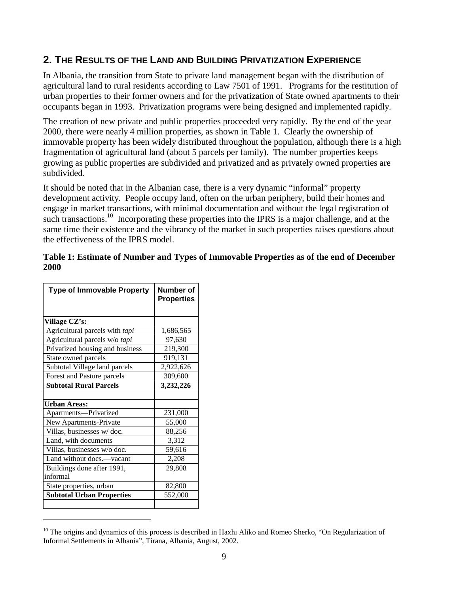#### **2. THE RESULTS OF THE LAND AND BUILDING PRIVATIZATION EXPERIENCE**

In Albania, the transition from State to private land management began with the distribution of agricultural land to rural residents according to Law 7501 of 1991. Programs for the restitution of urban properties to their former owners and for the privatization of State owned apartments to their occupants began in 1993. Privatization programs were being designed and implemented rapidly.

The creation of new private and public properties proceeded very rapidly. By the end of the year 2000, there were nearly 4 million properties, as shown in Table 1. Clearly the ownership of immovable property has been widely distributed throughout the population, although there is a high fragmentation of agricultural land (about 5 parcels per family). The number properties keeps growing as public properties are subdivided and privatized and as privately owned properties are subdivided.

It should be noted that in the Albanian case, there is a very dynamic "informal" property development activity. People occupy land, often on the urban periphery, build their homes and engage in market transactions, with minimal documentation and without the legal registration of such transactions.<sup>10</sup> Incorporating these properties into the IPRS is a major challenge, and at the same time their existence and the vibrancy of the market in such properties raises questions about the effectiveness of the IPRS model.

**Table 1: Estimate of Number and Types of Immovable Properties as of the end of December 2000** 

| <b>Type of Immovable Property</b> | Number of<br><b>Properties</b> |
|-----------------------------------|--------------------------------|
| Village CZ's:                     |                                |
| Agricultural parcels with tapi    | 1,686,565                      |
| Agricultural parcels w/o tapi     | 97,630                         |
| Privatized housing and business   | 219,300                        |
| State owned parcels               | 919,131                        |
| Subtotal Village land parcels     | 2,922,626                      |
| Forest and Pasture parcels        | 309,600                        |
| <b>Subtotal Rural Parcels</b>     | 3,232,226                      |
|                                   |                                |
| Urban Areas:                      |                                |
| Apartments-Privatized             | 231,000                        |
| New Apartments-Private            | 55,000                         |
| Villas, businesses w/doc.         | 88,256                         |
| Land, with documents              | 3,312                          |
| Villas, businesses w/o doc.       | 59,616                         |
| Land without docs.-vacant         | 2,208                          |
| Buildings done after 1991,        | 29,808                         |
| informal                          |                                |
| State properties, urban           | 82,800                         |
| <b>Subtotal Urban Properties</b>  | 552,000                        |
|                                   |                                |

 $10$  The origins and dynamics of this process is described in Haxhi Aliko and Romeo Sherko, "On Regularization of Informal Settlements in Albania", Tirana, Albania, August, 2002.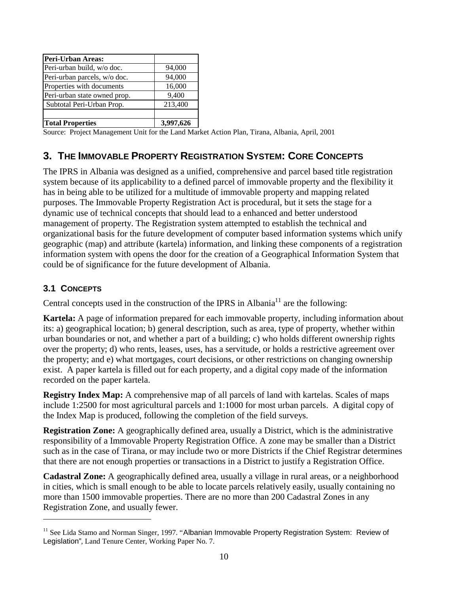| 94,000    |
|-----------|
| 94,000    |
| 16,000    |
| 9,400     |
| 213,400   |
|           |
| 3,997,626 |
|           |

Source: Project Management Unit for the Land Market Action Plan, Tirana, Albania, April, 2001

#### **3. THE IMMOVABLE PROPERTY REGISTRATION SYSTEM: CORE CONCEPTS**

The IPRS in Albania was designed as a unified, comprehensive and parcel based title registration system because of its applicability to a defined parcel of immovable property and the flexibility it has in being able to be utilized for a multitude of immovable property and mapping related purposes. The Immovable Property Registration Act is procedural, but it sets the stage for a dynamic use of technical concepts that should lead to a enhanced and better understood management of property. The Registration system attempted to establish the technical and organizational basis for the future development of computer based information systems which unify geographic (map) and attribute (kartela) information, and linking these components of a registration information system with opens the door for the creation of a Geographical Information System that could be of significance for the future development of Albania.

#### **3.1 CONCEPTS**

 $\overline{a}$ 

Central concepts used in the construction of the IPRS in Albania<sup>11</sup> are the following:

**Kartela:** A page of information prepared for each immovable property, including information about its: a) geographical location; b) general description, such as area, type of property, whether within urban boundaries or not, and whether a part of a building; c) who holds different ownership rights over the property; d) who rents, leases, uses, has a servitude, or holds a restrictive agreement over the property; and e) what mortgages, court decisions, or other restrictions on changing ownership exist. A paper kartela is filled out for each property, and a digital copy made of the information recorded on the paper kartela.

**Registry Index Map:** A comprehensive map of all parcels of land with kartelas. Scales of maps include 1:2500 for most agricultural parcels and 1:1000 for most urban parcels. A digital copy of the Index Map is produced, following the completion of the field surveys.

**Registration Zone:** A geographically defined area, usually a District, which is the administrative responsibility of a Immovable Property Registration Office. A zone may be smaller than a District such as in the case of Tirana, or may include two or more Districts if the Chief Registrar determines that there are not enough properties or transactions in a District to justify a Registration Office.

**Cadastral Zone:** A geographically defined area, usually a village in rural areas, or a neighborhood in cities, which is small enough to be able to locate parcels relatively easily, usually containing no more than 1500 immovable properties. There are no more than 200 Cadastral Zones in any Registration Zone, and usually fewer.

<sup>&</sup>lt;sup>11</sup> See Lida Stamo and Norman Singer, 1997. "Albanian Immovable Property Registration System: Review of Legislation", Land Tenure Center, Working Paper No. 7.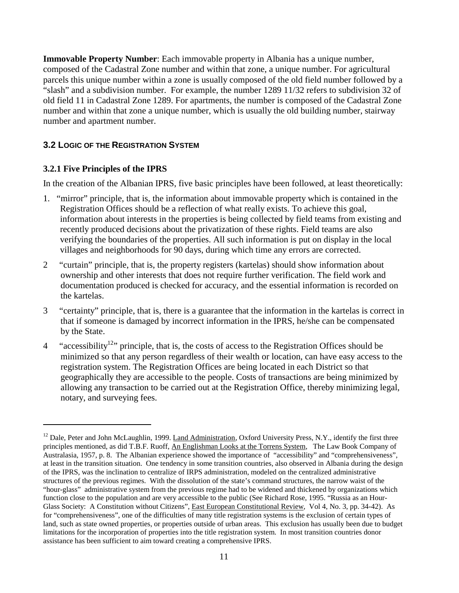**Immovable Property Number**: Each immovable property in Albania has a unique number, composed of the Cadastral Zone number and within that zone, a unique number. For agricultural parcels this unique number within a zone is usually composed of the old field number followed by a "slash" and a subdivision number. For example, the number 1289 11/32 refers to subdivision 32 of old field 11 in Cadastral Zone 1289. For apartments, the number is composed of the Cadastral Zone number and within that zone a unique number, which is usually the old building number, stairway number and apartment number.

#### **3.2 LOGIC OF THE REGISTRATION SYSTEM**

#### **3.2.1 Five Principles of the IPRS**

 $\overline{a}$ 

In the creation of the Albanian IPRS, five basic principles have been followed, at least theoretically:

- 1. "mirror" principle, that is, the information about immovable property which is contained in the Registration Offices should be a reflection of what really exists. To achieve this goal, information about interests in the properties is being collected by field teams from existing and recently produced decisions about the privatization of these rights. Field teams are also verifying the boundaries of the properties. All such information is put on display in the local villages and neighborhoods for 90 days, during which time any errors are corrected.
- 2 "curtain" principle, that is, the property registers (kartelas) should show information about ownership and other interests that does not require further verification. The field work and documentation produced is checked for accuracy, and the essential information is recorded on the kartelas.
- 3 "certainty" principle, that is, there is a guarantee that the information in the kartelas is correct in that if someone is damaged by incorrect information in the IPRS, he/she can be compensated by the State.
- <sup>4</sup> "accessibility<sup>12</sup>" principle, that is, the costs of access to the Registration Offices should be minimized so that any person regardless of their wealth or location, can have easy access to the registration system. The Registration Offices are being located in each District so that geographically they are accessible to the people. Costs of transactions are being minimized by allowing any transaction to be carried out at the Registration Office, thereby minimizing legal, notary, and surveying fees.

 $12$  Dale, Peter and John McLaughlin, 1999. Land Administration, Oxford University Press, N.Y., identify the first three principles mentioned, as did T.B.F. Ruoff, An Englishman Looks at the Torrens System, The Law Book Company of Australasia, 1957, p. 8. The Albanian experience showed the importance of "accessibility" and "comprehensiveness", at least in the transition situation. One tendency in some transition countries, also observed in Albania during the design of the IPRS, was the inclination to centralize of IRPS administration, modeled on the centralized administrative structures of the previous regimes. With the dissolution of the state's command structures, the narrow waist of the "hour-glass" administrative system from the previous regime had to be widened and thickened by organizations which function close to the population and are very accessible to the public (See Richard Rose, 1995. "Russia as an Hour-Glass Society: A Constitution without Citizens", East European Constitutional Review, Vol 4, No. 3, pp. 34-42). As for "comprehensiveness", one of the difficulties of many title registration systems is the exclusion of certain types of land, such as state owned properties, or properties outside of urban areas. This exclusion has usually been due to budget limitations for the incorporation of properties into the title registration system. In most transition countries donor assistance has been sufficient to aim toward creating a comprehensive IPRS.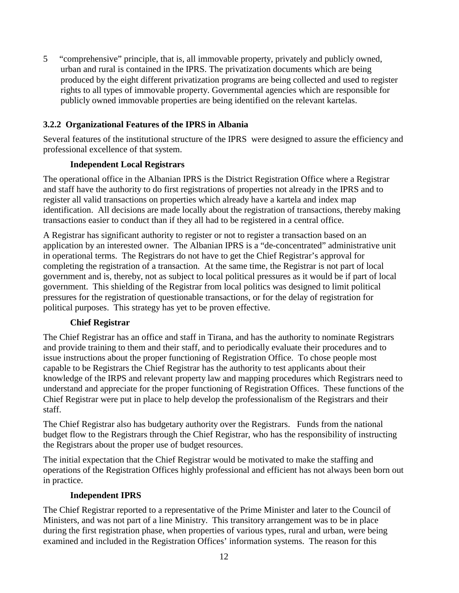5 "comprehensive" principle, that is, all immovable property, privately and publicly owned, urban and rural is contained in the IPRS. The privatization documents which are being produced by the eight different privatization programs are being collected and used to register rights to all types of immovable property. Governmental agencies which are responsible for publicly owned immovable properties are being identified on the relevant kartelas.

#### **3.2.2 Organizational Features of the IPRS in Albania**

Several features of the institutional structure of the IPRS were designed to assure the efficiency and professional excellence of that system.

#### **Independent Local Registrars**

The operational office in the Albanian IPRS is the District Registration Office where a Registrar and staff have the authority to do first registrations of properties not already in the IPRS and to register all valid transactions on properties which already have a kartela and index map identification. All decisions are made locally about the registration of transactions, thereby making transactions easier to conduct than if they all had to be registered in a central office.

A Registrar has significant authority to register or not to register a transaction based on an application by an interested owner. The Albanian IPRS is a "de-concentrated" administrative unit in operational terms. The Registrars do not have to get the Chief Registrar's approval for completing the registration of a transaction. At the same time, the Registrar is not part of local government and is, thereby, not as subject to local political pressures as it would be if part of local government. This shielding of the Registrar from local politics was designed to limit political pressures for the registration of questionable transactions, or for the delay of registration for political purposes. This strategy has yet to be proven effective.

#### **Chief Registrar**

The Chief Registrar has an office and staff in Tirana, and has the authority to nominate Registrars and provide training to them and their staff, and to periodically evaluate their procedures and to issue instructions about the proper functioning of Registration Office. To chose people most capable to be Registrars the Chief Registrar has the authority to test applicants about their knowledge of the IRPS and relevant property law and mapping procedures which Registrars need to understand and appreciate for the proper functioning of Registration Offices. These functions of the Chief Registrar were put in place to help develop the professionalism of the Registrars and their staff.

The Chief Registrar also has budgetary authority over the Registrars. Funds from the national budget flow to the Registrars through the Chief Registrar, who has the responsibility of instructing the Registrars about the proper use of budget resources.

The initial expectation that the Chief Registrar would be motivated to make the staffing and operations of the Registration Offices highly professional and efficient has not always been born out in practice.

#### **Independent IPRS**

The Chief Registrar reported to a representative of the Prime Minister and later to the Council of Ministers, and was not part of a line Ministry. This transitory arrangement was to be in place during the first registration phase, when properties of various types, rural and urban, were being examined and included in the Registration Offices' information systems. The reason for this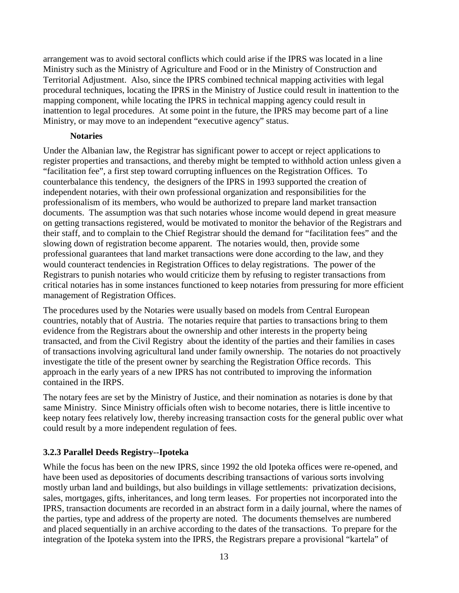arrangement was to avoid sectoral conflicts which could arise if the IPRS was located in a line Ministry such as the Ministry of Agriculture and Food or in the Ministry of Construction and Territorial Adjustment. Also, since the IPRS combined technical mapping activities with legal procedural techniques, locating the IPRS in the Ministry of Justice could result in inattention to the mapping component, while locating the IPRS in technical mapping agency could result in inattention to legal procedures. At some point in the future, the IPRS may become part of a line Ministry, or may move to an independent "executive agency" status.

#### **Notaries**

Under the Albanian law, the Registrar has significant power to accept or reject applications to register properties and transactions, and thereby might be tempted to withhold action unless given a "facilitation fee", a first step toward corrupting influences on the Registration Offices. To counterbalance this tendency, the designers of the IPRS in 1993 supported the creation of independent notaries, with their own professional organization and responsibilities for the professionalism of its members, who would be authorized to prepare land market transaction documents. The assumption was that such notaries whose income would depend in great measure on getting transactions registered, would be motivated to monitor the behavior of the Registrars and their staff, and to complain to the Chief Registrar should the demand for "facilitation fees" and the slowing down of registration become apparent. The notaries would, then, provide some professional guarantees that land market transactions were done according to the law, and they would counteract tendencies in Registration Offices to delay registrations. The power of the Registrars to punish notaries who would criticize them by refusing to register transactions from critical notaries has in some instances functioned to keep notaries from pressuring for more efficient management of Registration Offices.

The procedures used by the Notaries were usually based on models from Central European countries, notably that of Austria. The notaries require that parties to transactions bring to them evidence from the Registrars about the ownership and other interests in the property being transacted, and from the Civil Registry about the identity of the parties and their families in cases of transactions involving agricultural land under family ownership. The notaries do not proactively investigate the title of the present owner by searching the Registration Office records. This approach in the early years of a new IPRS has not contributed to improving the information contained in the IRPS.

The notary fees are set by the Ministry of Justice, and their nomination as notaries is done by that same Ministry. Since Ministry officials often wish to become notaries, there is little incentive to keep notary fees relatively low, thereby increasing transaction costs for the general public over what could result by a more independent regulation of fees.

#### **3.2.3 Parallel Deeds Registry--Ipoteka**

While the focus has been on the new IPRS, since 1992 the old Ipoteka offices were re-opened, and have been used as depositories of documents describing transactions of various sorts involving mostly urban land and buildings, but also buildings in village settlements: privatization decisions, sales, mortgages, gifts, inheritances, and long term leases. For properties not incorporated into the IPRS, transaction documents are recorded in an abstract form in a daily journal, where the names of the parties, type and address of the property are noted. The documents themselves are numbered and placed sequentially in an archive according to the dates of the transactions. To prepare for the integration of the Ipoteka system into the IPRS, the Registrars prepare a provisional "kartela" of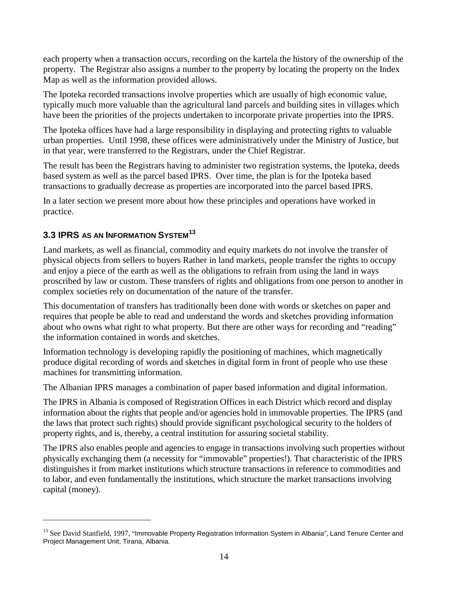each property when a transaction occurs, recording on the kartela the history of the ownership of the property. The Registrar also assigns a number to the property by locating the property on the Index Map as well as the information provided allows.

The Ipoteka recorded transactions involve properties which are usually of high economic value, typically much more valuable than the agricultural land parcels and building sites in villages which have been the priorities of the projects undertaken to incorporate private properties into the IPRS.

The Ipoteka offices have had a large responsibility in displaying and protecting rights to valuable urban properties. Until 1998, these offices were administratively under the Ministry of Justice, but in that year, were transferred to the Registrars, under the Chief Registrar.

The result has been the Registrars having to administer two registration systems, the Ipoteka, deeds based system as well as the parcel based IPRS. Over time, the plan is for the Ipoteka based transactions to gradually decrease as properties are incorporated into the parcel based IPRS.

In a later section we present more about how these principles and operations have worked in practice.

#### **3.3 IPRS AS AN INFORMATION SYSTEM<sup>13</sup>**

 $\overline{a}$ 

Land markets, as well as financial, commodity and equity markets do not involve the transfer of physical objects from sellers to buyers Rather in land markets, people transfer the rights to occupy and enjoy a piece of the earth as well as the obligations to refrain from using the land in ways proscribed by law or custom. These transfers of rights and obligations from one person to another in complex societies rely on documentation of the nature of the transfer.

This documentation of transfers has traditionally been done with words or sketches on paper and requires that people be able to read and understand the words and sketches providing information about who owns what right to what property. But there are other ways for recording and "reading" the information contained in words and sketches.

Information technology is developing rapidly the positioning of machines, which magnetically produce digital recording of words and sketches in digital form in front of people who use these machines for transmitting information.

The Albanian IPRS manages a combination of paper based information and digital information.

The IPRS in Albania is composed of Registration Offices in each District which record and display information about the rights that people and/or agencies hold in immovable properties. The IPRS (and the laws that protect such rights) should provide significant psychological security to the holders of property rights, and is, thereby, a central institution for assuring societal stability.

The IPRS also enables people and agencies to engage in transactions involving such properties without physically exchanging them (a necessity for "immovable" properties!). That characteristic of the IPRS distinguishes it from market institutions which structure transactions in reference to commodities and to labor, and even fundamentally the institutions, which structure the market transactions involving capital (money).

 $13$  See David Stanfield, 1997, "Immovable Property Registration Information System in Albania", Land Tenure Center and Project Management Unit, Tirana, Albania.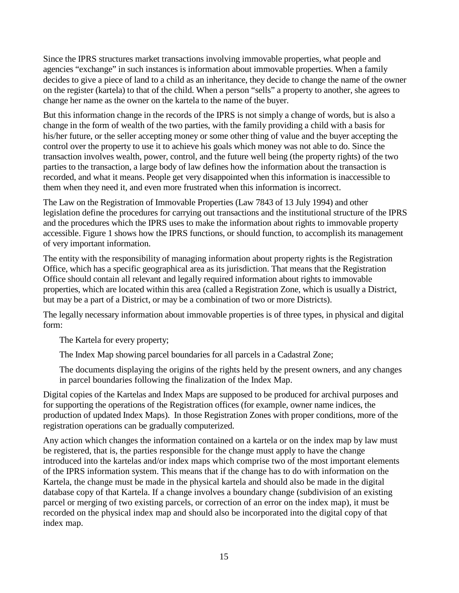Since the IPRS structures market transactions involving immovable properties, what people and agencies "exchange" in such instances is information about immovable properties. When a family decides to give a piece of land to a child as an inheritance, they decide to change the name of the owner on the register (kartela) to that of the child. When a person "sells" a property to another, she agrees to change her name as the owner on the kartela to the name of the buyer.

But this information change in the records of the IPRS is not simply a change of words, but is also a change in the form of wealth of the two parties, with the family providing a child with a basis for his/her future, or the seller accepting money or some other thing of value and the buyer accepting the control over the property to use it to achieve his goals which money was not able to do. Since the transaction involves wealth, power, control, and the future well being (the property rights) of the two parties to the transaction, a large body of law defines how the information about the transaction is recorded, and what it means. People get very disappointed when this information is inaccessible to them when they need it, and even more frustrated when this information is incorrect.

The Law on the Registration of Immovable Properties (Law 7843 of 13 July 1994) and other legislation define the procedures for carrying out transactions and the institutional structure of the IPRS and the procedures which the IPRS uses to make the information about rights to immovable property accessible. Figure 1 shows how the IPRS functions, or should function, to accomplish its management of very important information.

The entity with the responsibility of managing information about property rights is the Registration Office, which has a specific geographical area as its jurisdiction. That means that the Registration Office should contain all relevant and legally required information about rights to immovable properties, which are located within this area (called a Registration Zone, which is usually a District, but may be a part of a District, or may be a combination of two or more Districts).

The legally necessary information about immovable properties is of three types, in physical and digital form:

The Kartela for every property;

The Index Map showing parcel boundaries for all parcels in a Cadastral Zone;

The documents displaying the origins of the rights held by the present owners, and any changes in parcel boundaries following the finalization of the Index Map.

Digital copies of the Kartelas and Index Maps are supposed to be produced for archival purposes and for supporting the operations of the Registration offices (for example, owner name indices, the production of updated Index Maps). In those Registration Zones with proper conditions, more of the registration operations can be gradually computerized.

Any action which changes the information contained on a kartela or on the index map by law must be registered, that is, the parties responsible for the change must apply to have the change introduced into the kartelas and/or index maps which comprise two of the most important elements of the IPRS information system. This means that if the change has to do with information on the Kartela, the change must be made in the physical kartela and should also be made in the digital database copy of that Kartela. If a change involves a boundary change (subdivision of an existing parcel or merging of two existing parcels, or correction of an error on the index map), it must be recorded on the physical index map and should also be incorporated into the digital copy of that index map.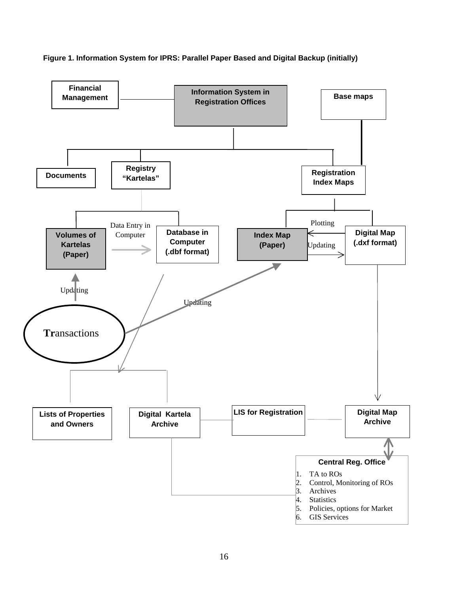**Figure 1. Information System for IPRS: Parallel Paper Based and Digital Backup (initially)** 

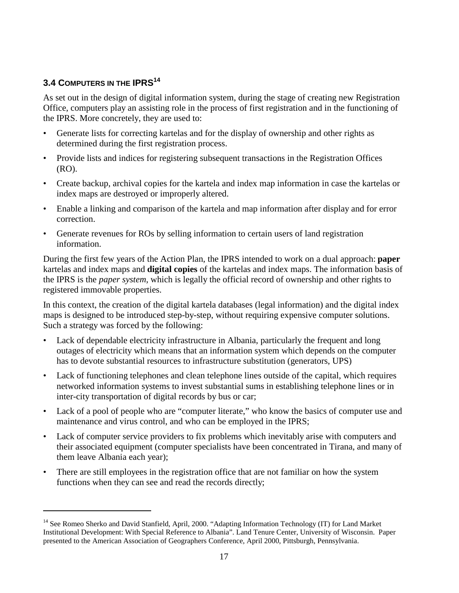#### **3.4 COMPUTERS IN THE IPRS<sup>14</sup>**

 $\overline{a}$ 

As set out in the design of digital information system, during the stage of creating new Registration Office, computers play an assisting role in the process of first registration and in the functioning of the IPRS. More concretely, they are used to:

- Generate lists for correcting kartelas and for the display of ownership and other rights as determined during the first registration process.
- Provide lists and indices for registering subsequent transactions in the Registration Offices (RO).
- Create backup, archival copies for the kartela and index map information in case the kartelas or index maps are destroyed or improperly altered.
- Enable a linking and comparison of the kartela and map information after display and for error correction.
- Generate revenues for ROs by selling information to certain users of land registration information.

During the first few years of the Action Plan, the IPRS intended to work on a dual approach: **paper** kartelas and index maps and **digital copies** of the kartelas and index maps. The information basis of the IPRS is the *paper system*, which is legally the official record of ownership and other rights to registered immovable properties.

In this context, the creation of the digital kartela databases (legal information) and the digital index maps is designed to be introduced step-by-step, without requiring expensive computer solutions. Such a strategy was forced by the following:

- Lack of dependable electricity infrastructure in Albania, particularly the frequent and long outages of electricity which means that an information system which depends on the computer has to devote substantial resources to infrastructure substitution (generators, UPS)
- Lack of functioning telephones and clean telephone lines outside of the capital, which requires networked information systems to invest substantial sums in establishing telephone lines or in inter-city transportation of digital records by bus or car;
- Lack of a pool of people who are "computer literate," who know the basics of computer use and maintenance and virus control, and who can be employed in the IPRS;
- Lack of computer service providers to fix problems which inevitably arise with computers and their associated equipment (computer specialists have been concentrated in Tirana, and many of them leave Albania each year);
- There are still employees in the registration office that are not familiar on how the system functions when they can see and read the records directly;

<sup>&</sup>lt;sup>14</sup> See Romeo Sherko and David Stanfield, April, 2000. "Adapting Information Technology (IT) for Land Market Institutional Development: With Special Reference to Albania". Land Tenure Center, University of Wisconsin. Paper presented to the American Association of Geographers Conference, April 2000, Pittsburgh, Pennsylvania.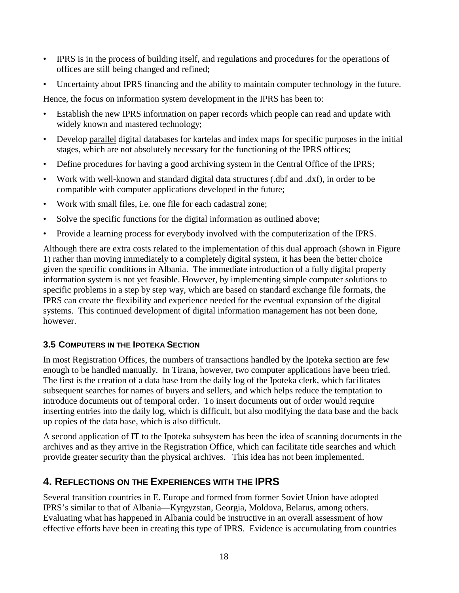- IPRS is in the process of building itself, and regulations and procedures for the operations of offices are still being changed and refined;
- Uncertainty about IPRS financing and the ability to maintain computer technology in the future.

Hence, the focus on information system development in the IPRS has been to:

- Establish the new IPRS information on paper records which people can read and update with widely known and mastered technology;
- Develop parallel digital databases for kartelas and index maps for specific purposes in the initial stages, which are not absolutely necessary for the functioning of the IPRS offices;
- Define procedures for having a good archiving system in the Central Office of the IPRS;
- Work with well-known and standard digital data structures (.dbf and .dxf), in order to be compatible with computer applications developed in the future;
- Work with small files, i.e. one file for each cadastral zone;
- Solve the specific functions for the digital information as outlined above;
- Provide a learning process for everybody involved with the computerization of the IPRS.

Although there are extra costs related to the implementation of this dual approach (shown in Figure 1) rather than moving immediately to a completely digital system, it has been the better choice given the specific conditions in Albania. The immediate introduction of a fully digital property information system is not yet feasible. However, by implementing simple computer solutions to specific problems in a step by step way, which are based on standard exchange file formats, the IPRS can create the flexibility and experience needed for the eventual expansion of the digital systems. This continued development of digital information management has not been done, however.

#### **3.5 COMPUTERS IN THE IPOTEKA SECTION**

In most Registration Offices, the numbers of transactions handled by the Ipoteka section are few enough to be handled manually. In Tirana, however, two computer applications have been tried. The first is the creation of a data base from the daily log of the Ipoteka clerk, which facilitates subsequent searches for names of buyers and sellers, and which helps reduce the temptation to introduce documents out of temporal order. To insert documents out of order would require inserting entries into the daily log, which is difficult, but also modifying the data base and the back up copies of the data base, which is also difficult.

A second application of IT to the Ipoteka subsystem has been the idea of scanning documents in the archives and as they arrive in the Registration Office, which can facilitate title searches and which provide greater security than the physical archives. This idea has not been implemented.

### **4. REFLECTIONS ON THE EXPERIENCES WITH THE IPRS**

Several transition countries in E. Europe and formed from former Soviet Union have adopted IPRS's similar to that of Albania—Kyrgyzstan, Georgia, Moldova, Belarus, among others. Evaluating what has happened in Albania could be instructive in an overall assessment of how effective efforts have been in creating this type of IPRS. Evidence is accumulating from countries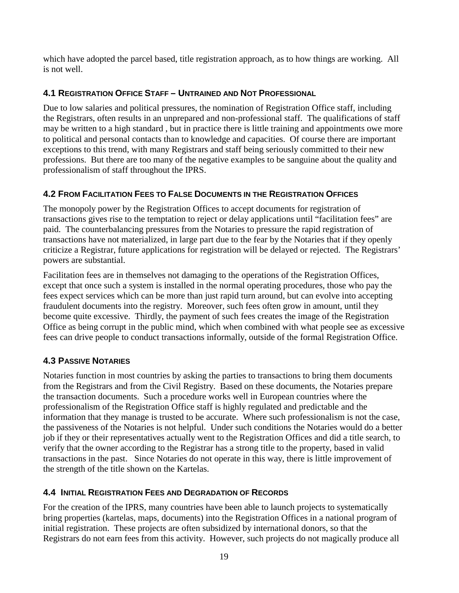which have adopted the parcel based, title registration approach, as to how things are working. All is not well.

#### **4.1 REGISTRATION OFFICE STAFF – UNTRAINED AND NOT PROFESSIONAL**

Due to low salaries and political pressures, the nomination of Registration Office staff, including the Registrars, often results in an unprepared and non-professional staff. The qualifications of staff may be written to a high standard , but in practice there is little training and appointments owe more to political and personal contacts than to knowledge and capacities. Of course there are important exceptions to this trend, with many Registrars and staff being seriously committed to their new professions. But there are too many of the negative examples to be sanguine about the quality and professionalism of staff throughout the IPRS.

#### **4.2 FROM FACILITATION FEES TO FALSE DOCUMENTS IN THE REGISTRATION OFFICES**

The monopoly power by the Registration Offices to accept documents for registration of transactions gives rise to the temptation to reject or delay applications until "facilitation fees" are paid. The counterbalancing pressures from the Notaries to pressure the rapid registration of transactions have not materialized, in large part due to the fear by the Notaries that if they openly criticize a Registrar, future applications for registration will be delayed or rejected. The Registrars' powers are substantial.

Facilitation fees are in themselves not damaging to the operations of the Registration Offices, except that once such a system is installed in the normal operating procedures, those who pay the fees expect services which can be more than just rapid turn around, but can evolve into accepting fraudulent documents into the registry. Moreover, such fees often grow in amount, until they become quite excessive. Thirdly, the payment of such fees creates the image of the Registration Office as being corrupt in the public mind, which when combined with what people see as excessive fees can drive people to conduct transactions informally, outside of the formal Registration Office.

#### **4.3 PASSIVE NOTARIES**

Notaries function in most countries by asking the parties to transactions to bring them documents from the Registrars and from the Civil Registry. Based on these documents, the Notaries prepare the transaction documents. Such a procedure works well in European countries where the professionalism of the Registration Office staff is highly regulated and predictable and the information that they manage is trusted to be accurate. Where such professionalism is not the case, the passiveness of the Notaries is not helpful. Under such conditions the Notaries would do a better job if they or their representatives actually went to the Registration Offices and did a title search, to verify that the owner according to the Registrar has a strong title to the property, based in valid transactions in the past. Since Notaries do not operate in this way, there is little improvement of the strength of the title shown on the Kartelas.

#### **4.4 INITIAL REGISTRATION FEES AND DEGRADATION OF RECORDS**

For the creation of the IPRS, many countries have been able to launch projects to systematically bring properties (kartelas, maps, documents) into the Registration Offices in a national program of initial registration. These projects are often subsidized by international donors, so that the Registrars do not earn fees from this activity. However, such projects do not magically produce all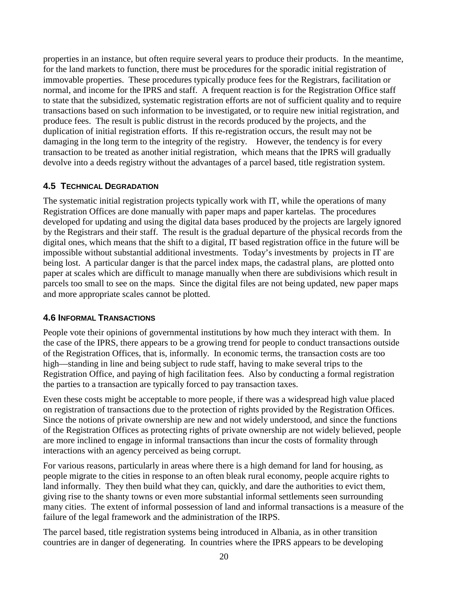properties in an instance, but often require several years to produce their products. In the meantime, for the land markets to function, there must be procedures for the sporadic initial registration of immovable properties. These procedures typically produce fees for the Registrars, facilitation or normal, and income for the IPRS and staff. A frequent reaction is for the Registration Office staff to state that the subsidized, systematic registration efforts are not of sufficient quality and to require transactions based on such information to be investigated, or to require new initial registration, and produce fees. The result is public distrust in the records produced by the projects, and the duplication of initial registration efforts. If this re-registration occurs, the result may not be damaging in the long term to the integrity of the registry. However, the tendency is for every transaction to be treated as another initial registration, which means that the IPRS will gradually devolve into a deeds registry without the advantages of a parcel based, title registration system.

#### **4.5 TECHNICAL DEGRADATION**

The systematic initial registration projects typically work with IT, while the operations of many Registration Offices are done manually with paper maps and paper kartelas. The procedures developed for updating and using the digital data bases produced by the projects are largely ignored by the Registrars and their staff. The result is the gradual departure of the physical records from the digital ones, which means that the shift to a digital, IT based registration office in the future will be impossible without substantial additional investments. Today's investments by projects in IT are being lost. A particular danger is that the parcel index maps, the cadastral plans, are plotted onto paper at scales which are difficult to manage manually when there are subdivisions which result in parcels too small to see on the maps. Since the digital files are not being updated, new paper maps and more appropriate scales cannot be plotted.

#### **4.6 INFORMAL TRANSACTIONS**

People vote their opinions of governmental institutions by how much they interact with them. In the case of the IPRS, there appears to be a growing trend for people to conduct transactions outside of the Registration Offices, that is, informally. In economic terms, the transaction costs are too high—standing in line and being subject to rude staff, having to make several trips to the Registration Office, and paying of high facilitation fees. Also by conducting a formal registration the parties to a transaction are typically forced to pay transaction taxes.

Even these costs might be acceptable to more people, if there was a widespread high value placed on registration of transactions due to the protection of rights provided by the Registration Offices. Since the notions of private ownership are new and not widely understood, and since the functions of the Registration Offices as protecting rights of private ownership are not widely believed, people are more inclined to engage in informal transactions than incur the costs of formality through interactions with an agency perceived as being corrupt.

For various reasons, particularly in areas where there is a high demand for land for housing, as people migrate to the cities in response to an often bleak rural economy, people acquire rights to land informally. They then build what they can, quickly, and dare the authorities to evict them, giving rise to the shanty towns or even more substantial informal settlements seen surrounding many cities. The extent of informal possession of land and informal transactions is a measure of the failure of the legal framework and the administration of the IRPS.

The parcel based, title registration systems being introduced in Albania, as in other transition countries are in danger of degenerating. In countries where the IPRS appears to be developing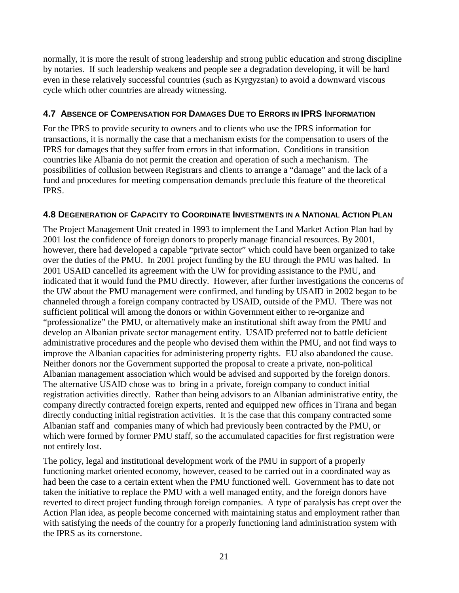normally, it is more the result of strong leadership and strong public education and strong discipline by notaries. If such leadership weakens and people see a degradation developing, it will be hard even in these relatively successful countries (such as Kyrgyzstan) to avoid a downward viscous cycle which other countries are already witnessing.

#### **4.7 ABSENCE OF COMPENSATION FOR DAMAGES DUE TO ERRORS IN IPRS INFORMATION**

For the IPRS to provide security to owners and to clients who use the IPRS information for transactions, it is normally the case that a mechanism exists for the compensation to users of the IPRS for damages that they suffer from errors in that information. Conditions in transition countries like Albania do not permit the creation and operation of such a mechanism. The possibilities of collusion between Registrars and clients to arrange a "damage" and the lack of a fund and procedures for meeting compensation demands preclude this feature of the theoretical IPRS.

#### **4.8 DEGENERATION OF CAPACITY TO COORDINATE INVESTMENTS IN A NATIONAL ACTION PLAN**

The Project Management Unit created in 1993 to implement the Land Market Action Plan had by 2001 lost the confidence of foreign donors to properly manage financial resources. By 2001, however, there had developed a capable "private sector" which could have been organized to take over the duties of the PMU. In 2001 project funding by the EU through the PMU was halted. In 2001 USAID cancelled its agreement with the UW for providing assistance to the PMU, and indicated that it would fund the PMU directly. However, after further investigations the concerns of the UW about the PMU management were confirmed, and funding by USAID in 2002 began to be channeled through a foreign company contracted by USAID, outside of the PMU. There was not sufficient political will among the donors or within Government either to re-organize and "professionalize" the PMU, or alternatively make an institutional shift away from the PMU and develop an Albanian private sector management entity. USAID preferred not to battle deficient administrative procedures and the people who devised them within the PMU, and not find ways to improve the Albanian capacities for administering property rights. EU also abandoned the cause. Neither donors nor the Government supported the proposal to create a private, non-political Albanian management association which would be advised and supported by the foreign donors. The alternative USAID chose was to bring in a private, foreign company to conduct initial registration activities directly. Rather than being advisors to an Albanian administrative entity, the company directly contracted foreign experts, rented and equipped new offices in Tirana and began directly conducting initial registration activities. It is the case that this company contracted some Albanian staff and companies many of which had previously been contracted by the PMU, or which were formed by former PMU staff, so the accumulated capacities for first registration were not entirely lost.

The policy, legal and institutional development work of the PMU in support of a properly functioning market oriented economy, however, ceased to be carried out in a coordinated way as had been the case to a certain extent when the PMU functioned well. Government has to date not taken the initiative to replace the PMU with a well managed entity, and the foreign donors have reverted to direct project funding through foreign companies. A type of paralysis has crept over the Action Plan idea, as people become concerned with maintaining status and employment rather than with satisfying the needs of the country for a properly functioning land administration system with the IPRS as its cornerstone.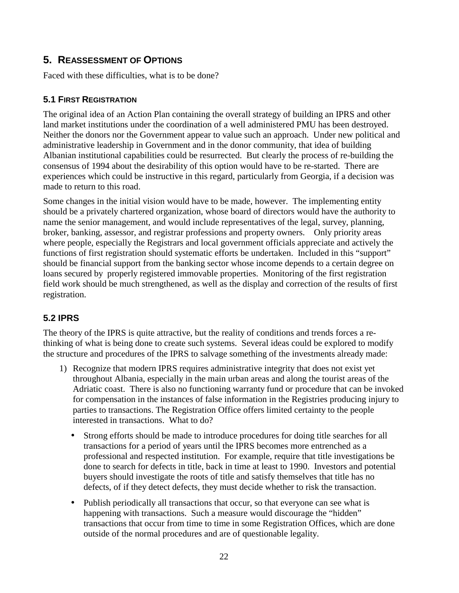#### **5. REASSESSMENT OF OPTIONS**

Faced with these difficulties, what is to be done?

#### **5.1 FIRST REGISTRATION**

The original idea of an Action Plan containing the overall strategy of building an IPRS and other land market institutions under the coordination of a well administered PMU has been destroyed. Neither the donors nor the Government appear to value such an approach. Under new political and administrative leadership in Government and in the donor community, that idea of building Albanian institutional capabilities could be resurrected. But clearly the process of re-building the consensus of 1994 about the desirability of this option would have to be re-started. There are experiences which could be instructive in this regard, particularly from Georgia, if a decision was made to return to this road.

Some changes in the initial vision would have to be made, however. The implementing entity should be a privately chartered organization, whose board of directors would have the authority to name the senior management, and would include representatives of the legal, survey, planning, broker, banking, assessor, and registrar professions and property owners. Only priority areas where people, especially the Registrars and local government officials appreciate and actively the functions of first registration should systematic efforts be undertaken. Included in this "support" should be financial support from the banking sector whose income depends to a certain degree on loans secured by properly registered immovable properties. Monitoring of the first registration field work should be much strengthened, as well as the display and correction of the results of first registration.

#### **5.2 IPRS**

The theory of the IPRS is quite attractive, but the reality of conditions and trends forces a rethinking of what is being done to create such systems. Several ideas could be explored to modify the structure and procedures of the IPRS to salvage something of the investments already made:

- 1) Recognize that modern IPRS requires administrative integrity that does not exist yet throughout Albania, especially in the main urban areas and along the tourist areas of the Adriatic coast. There is also no functioning warranty fund or procedure that can be invoked for compensation in the instances of false information in the Registries producing injury to parties to transactions. The Registration Office offers limited certainty to the people interested in transactions. What to do?
	- Strong efforts should be made to introduce procedures for doing title searches for all transactions for a period of years until the IPRS becomes more entrenched as a professional and respected institution. For example, require that title investigations be done to search for defects in title, back in time at least to 1990. Investors and potential buyers should investigate the roots of title and satisfy themselves that title has no defects, of if they detect defects, they must decide whether to risk the transaction.
	- Publish periodically all transactions that occur, so that everyone can see what is happening with transactions. Such a measure would discourage the "hidden" transactions that occur from time to time in some Registration Offices, which are done outside of the normal procedures and are of questionable legality.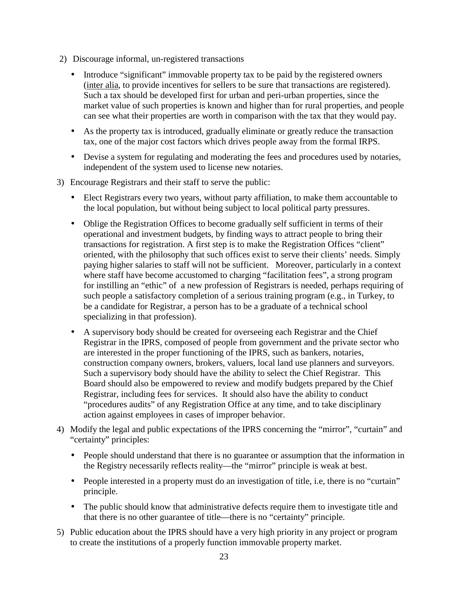- 2) Discourage informal, un-registered transactions
	- Introduce "significant" immovable property tax to be paid by the registered owners (inter alia, to provide incentives for sellers to be sure that transactions are registered). Such a tax should be developed first for urban and peri-urban properties, since the market value of such properties is known and higher than for rural properties, and people can see what their properties are worth in comparison with the tax that they would pay.
	- As the property tax is introduced, gradually eliminate or greatly reduce the transaction tax, one of the major cost factors which drives people away from the formal IRPS.
	- Devise a system for regulating and moderating the fees and procedures used by notaries, independent of the system used to license new notaries.
- 3) Encourage Registrars and their staff to serve the public:
	- Elect Registrars every two years, without party affiliation, to make them accountable to the local population, but without being subject to local political party pressures.
	- Oblige the Registration Offices to become gradually self sufficient in terms of their operational and investment budgets, by finding ways to attract people to bring their transactions for registration. A first step is to make the Registration Offices "client" oriented, with the philosophy that such offices exist to serve their clients' needs. Simply paying higher salaries to staff will not be sufficient. Moreover, particularly in a context where staff have become accustomed to charging "facilitation fees", a strong program for instilling an "ethic" of a new profession of Registrars is needed, perhaps requiring of such people a satisfactory completion of a serious training program (e.g., in Turkey, to be a candidate for Registrar, a person has to be a graduate of a technical school specializing in that profession).
	- A supervisory body should be created for overseeing each Registrar and the Chief Registrar in the IPRS, composed of people from government and the private sector who are interested in the proper functioning of the IPRS, such as bankers, notaries, construction company owners, brokers, valuers, local land use planners and surveyors. Such a supervisory body should have the ability to select the Chief Registrar. This Board should also be empowered to review and modify budgets prepared by the Chief Registrar, including fees for services. It should also have the ability to conduct "procedures audits" of any Registration Office at any time, and to take disciplinary action against employees in cases of improper behavior.
- 4) Modify the legal and public expectations of the IPRS concerning the "mirror", "curtain" and "certainty" principles:
	- People should understand that there is no guarantee or assumption that the information in the Registry necessarily reflects reality—the "mirror" principle is weak at best.
	- People interested in a property must do an investigation of title, i.e, there is no "curtain" principle.
	- The public should know that administrative defects require them to investigate title and that there is no other guarantee of title—there is no "certainty" principle.
- 5) Public education about the IPRS should have a very high priority in any project or program to create the institutions of a properly function immovable property market.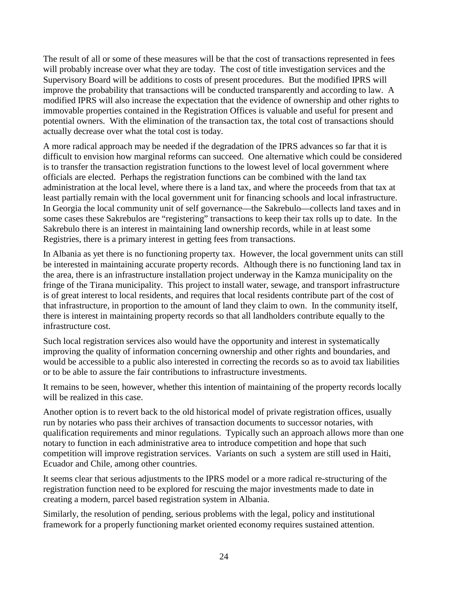The result of all or some of these measures will be that the cost of transactions represented in fees will probably increase over what they are today. The cost of title investigation services and the Supervisory Board will be additions to costs of present procedures. But the modified IPRS will improve the probability that transactions will be conducted transparently and according to law. A modified IPRS will also increase the expectation that the evidence of ownership and other rights to immovable properties contained in the Registration Offices is valuable and useful for present and potential owners. With the elimination of the transaction tax, the total cost of transactions should actually decrease over what the total cost is today.

A more radical approach may be needed if the degradation of the IPRS advances so far that it is difficult to envision how marginal reforms can succeed. One alternative which could be considered is to transfer the transaction registration functions to the lowest level of local government where officials are elected. Perhaps the registration functions can be combined with the land tax administration at the local level, where there is a land tax, and where the proceeds from that tax at least partially remain with the local government unit for financing schools and local infrastructure. In Georgia the local community unit of self governance—the Sakrebulo—collects land taxes and in some cases these Sakrebulos are "registering" transactions to keep their tax rolls up to date. In the Sakrebulo there is an interest in maintaining land ownership records, while in at least some Registries, there is a primary interest in getting fees from transactions.

In Albania as yet there is no functioning property tax. However, the local government units can still be interested in maintaining accurate property records. Although there is no functioning land tax in the area, there is an infrastructure installation project underway in the Kamza municipality on the fringe of the Tirana municipality. This project to install water, sewage, and transport infrastructure is of great interest to local residents, and requires that local residents contribute part of the cost of that infrastructure, in proportion to the amount of land they claim to own. In the community itself, there is interest in maintaining property records so that all landholders contribute equally to the infrastructure cost.

Such local registration services also would have the opportunity and interest in systematically improving the quality of information concerning ownership and other rights and boundaries, and would be accessible to a public also interested in correcting the records so as to avoid tax liabilities or to be able to assure the fair contributions to infrastructure investments.

It remains to be seen, however, whether this intention of maintaining of the property records locally will be realized in this case.

Another option is to revert back to the old historical model of private registration offices, usually run by notaries who pass their archives of transaction documents to successor notaries, with qualification requirements and minor regulations. Typically such an approach allows more than one notary to function in each administrative area to introduce competition and hope that such competition will improve registration services. Variants on such a system are still used in Haiti, Ecuador and Chile, among other countries.

It seems clear that serious adjustments to the IPRS model or a more radical re-structuring of the registration function need to be explored for rescuing the major investments made to date in creating a modern, parcel based registration system in Albania.

Similarly, the resolution of pending, serious problems with the legal, policy and institutional framework for a properly functioning market oriented economy requires sustained attention.